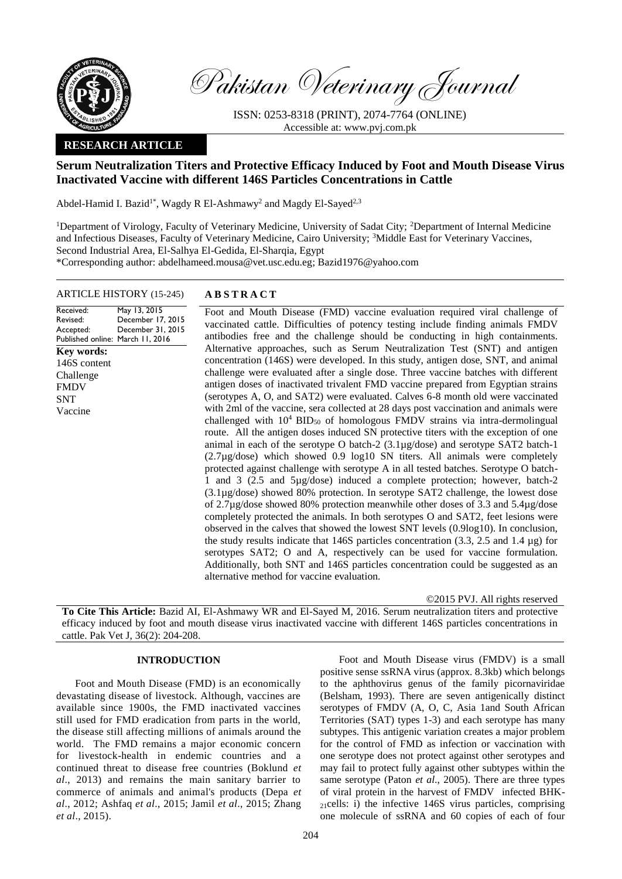

Pakistan Veterinary Journal

ISSN: 0253-8318 (PRINT), 2074-7764 (ONLINE) Accessible at: [www.pvj.com.pk](http://www.pvj.com.pk/)

## **RESEARCH ARTICLE**

# **Serum Neutralization Titers and Protective Efficacy Induced by Foot and Mouth Disease Virus Inactivated Vaccine with different 146S Particles Concentrations in Cattle**

Abdel-Hamid I. Bazid<sup>1\*</sup>, Wagdy R El-Ashmawy<sup>2</sup> and Magdy El-Sayed<sup>2,3</sup>

<sup>1</sup>Department of Virology, Faculty of Veterinary Medicine, University of Sadat City; <sup>2</sup>Department of Internal Medicine and Infectious Diseases, Faculty of Veterinary Medicine, Cairo University; <sup>3</sup>Middle East for Veterinary Vaccines, Second Industrial Area, El-Salhya El-Gedida, El-Sharqia, Egypt \*Corresponding author: abdelhameed.mousa@vet.usc.edu.eg; Bazid1976@yahoo.com

## ARTICLE HISTORY (15-245) **A B S T R A C T**

Received: Revised: Accepted: Published online: March 11, 2016 May 13, 2015 December 17, 2015 December 31, 2015 **Key words:**  146S content Challenge FMDV **SNT** Vaccine

Foot and Mouth Disease (FMD) vaccine evaluation required viral challenge of vaccinated cattle. Difficulties of potency testing include finding animals FMDV antibodies free and the challenge should be conducting in high containments. Alternative approaches, such as Serum Neutralization Test (SNT) and antigen concentration (146S) were developed. In this study, antigen dose, SNT, and animal challenge were evaluated after a single dose. Three vaccine batches with different antigen doses of inactivated trivalent FMD vaccine prepared from Egyptian strains (serotypes A, O, and SAT2) were evaluated. Calves 6-8 month old were vaccinated with 2ml of the vaccine, sera collected at 28 days post vaccination and animals were challenged with  $10^4$  BID<sub>50</sub> of homologous FMDV strains via intra-dermolingual route. All the antigen doses induced SN protective titers with the exception of one animal in each of the serotype O batch-2 (3.1µg/dose) and serotype SAT2 batch-1 (2.7µg/dose) which showed 0.9 log10 SN titers. All animals were completely protected against challenge with serotype A in all tested batches. Serotype O batch-1 and 3 (2.5 and 5µg/dose) induced a complete protection; however, batch-2 (3.1µg/dose) showed 80% protection. In serotype SAT2 challenge, the lowest dose of 2.7µg/dose showed 80% protection meanwhile other doses of 3.3 and 5.4µg/dose completely protected the animals. In both serotypes O and SAT2, feet lesions were observed in the calves that showed the lowest SNT levels (0.9log10). In conclusion, the study results indicate that 146S particles concentration (3.3, 2.5 and 1.4 µg) for serotypes SAT2; O and A, respectively can be used for vaccine formulation. Additionally, both SNT and 146S particles concentration could be suggested as an alternative method for vaccine evaluation.

©2015 PVJ. All rights reserved

**To Cite This Article:** Bazid AI, El-Ashmawy WR and El-Sayed M, 2016. Serum neutralization titers and protective efficacy induced by foot and mouth disease virus inactivated vaccine with different 146S particles concentrations in cattle. Pak Vet J, 36(2): 204-208.

## **INTRODUCTION**

Foot and Mouth Disease (FMD) is an economically devastating disease of livestock. Although, vaccines are available since 1900s, the FMD inactivated vaccines still used for FMD eradication from parts in the world, the disease still affecting millions of animals around the world. The FMD remains a major economic concern for livestock-health in endemic countries and a continued threat to disease free countries (Boklund *et al*., 2013) and remains the main sanitary barrier to commerce of animals and animal's products (Depa *et al*., 2012; Ashfaq *et al*., 2015; Jamil *et al*., 2015; Zhang *et al*., 2015).

Foot and Mouth Disease virus (FMDV) is a small positive sense ssRNA virus (approx. 8.3kb) which belongs to the aphthovirus genus of the family picornaviridae (Belsham, 1993). There are seven antigenically distinct serotypes of FMDV (A, O, C, Asia 1and South African Territories (SAT) types 1-3) and each serotype has many subtypes. This antigenic variation creates a major problem for the control of FMD as infection or vaccination with one serotype does not protect against other serotypes and may fail to protect fully against other subtypes within the same serotype (Paton *et al*., 2005). There are three types of viral protein in the harvest of FMDV infected BHK-<sup>21</sup>cells: i) the infective 146S virus particles, comprising one molecule of ssRNA and 60 copies of each of four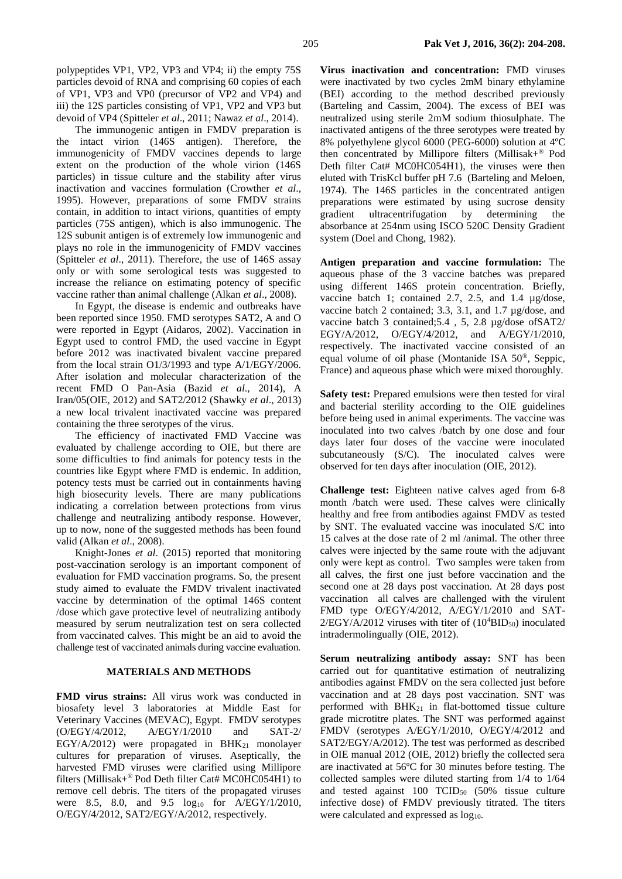polypeptides VP1, VP2, VP3 and VP4; ii) the empty 75S particles devoid of RNA and comprising 60 copies of each of VP1, VP3 and VP0 (precursor of VP2 and VP4) and iii) the 12S particles consisting of VP1, VP2 and VP3 but devoid of VP4 (Spitteler *et al*., 2011; Nawaz *et al*., 2014).

The immunogenic antigen in FMDV preparation is the intact virion (146S antigen). Therefore, the immunogenicity of FMDV vaccines depends to large extent on the production of the whole virion (146S particles) in tissue culture and the stability after virus inactivation and vaccines formulation (Crowther *et al*., 1995). However, preparations of some FMDV strains contain, in addition to intact virions, quantities of empty particles (75S antigen), which is also immunogenic. The 12S subunit antigen is of extremely low immunogenic and plays no role in the immunogenicity of FMDV vaccines (Spitteler *et al*., 2011). Therefore, the use of 146S assay only or with some serological tests was suggested to increase the reliance on estimating potency of specific vaccine rather than animal challenge (Alkan *et al*., 2008).

In Egypt, the disease is endemic and outbreaks have been reported since 1950. FMD serotypes SAT2, A and O were reported in Egypt (Aidaros, 2002). Vaccination in Egypt used to control FMD, the used vaccine in Egypt before 2012 was inactivated bivalent vaccine prepared from the local strain O1/3/1993 and type A/1/EGY/2006. After isolation and molecular characterization of the recent FMD O Pan-Asia (Bazid *et al*., 2014), A Iran/05(OIE, 2012) and SAT2/2012 (Shawky *et al*., 2013) a new local trivalent inactivated vaccine was prepared containing the three serotypes of the virus.

The efficiency of inactivated FMD Vaccine was evaluated by challenge according to OIE, but there are some difficulties to find animals for potency tests in the countries like Egypt where FMD is endemic. In addition, potency tests must be carried out in containments having high biosecurity levels. There are many publications indicating a correlation between protections from virus challenge and neutralizing antibody response. However, up to now, none of the suggested methods has been found valid (Alkan *et al*., 2008).

Knight-Jones *et al*. (2015) reported that monitoring post-vaccination serology is an important component of evaluation for FMD vaccination programs. So, the present study aimed to evaluate the FMDV trivalent inactivated vaccine by determination of the optimal 146S content /dose which gave protective level of neutralizing antibody measured by serum neutralization test on sera collected from vaccinated calves. This might be an aid to avoid the challenge test of vaccinated animals during vaccine evaluation.

#### **MATERIALS AND METHODS**

**FMD virus strains:** All virus work was conducted in biosafety level 3 laboratories at Middle East for Veterinary Vaccines (MEVAC), Egypt. FMDV serotypes (O/EGY/4/2012, A/EGY/1/2010 and SAT-2/ EGY/A/2012) were propagated in BH $K_{21}$  monolayer cultures for preparation of viruses. Aseptically, the harvested FMD viruses were clarified using Millipore filters (Millisak+® Pod Deth filter Cat# MC0HC054H1) to remove cell debris. The titers of the propagated viruses were 8.5, 8.0, and  $9.5 \text{log}_{10}$  for A/EGY/1/2010, O/EGY/4/2012, SAT2/EGY/A/2012, respectively.

**Virus inactivation and concentration:** FMD viruses were inactivated by two cycles 2mM binary ethylamine (BEI) according to the method described previously (Barteling and Cassim, 2004). The excess of BEI was neutralized using sterile 2mM sodium thiosulphate. The inactivated antigens of the three serotypes were treated by 8% polyethylene glycol 6000 (PEG-6000) solution at 4ºC then concentrated by Millipore filters (Millisak+® Pod Deth filter Cat# MC0HC054H1), the viruses were then eluted with TrisKcl buffer pH 7.6 (Barteling and Meloen, 1974). The 146S particles in the concentrated antigen preparations were estimated by using sucrose density gradient ultracentrifugation by determining the absorbance at 254nm using ISCO 520C Density Gradient system (Doel and Chong, 1982).

**Antigen preparation and vaccine formulation:** The aqueous phase of the 3 vaccine batches was prepared using different 146S protein concentration. Briefly, vaccine batch 1; contained 2.7, 2.5, and 1.4 µg/dose, vaccine batch 2 contained; 3.3, 3.1, and 1.7 µg/dose, and vaccine batch 3 contained;5.4 , 5, 2.8 µg/dose ofSAT2/ EGY/A/2012, O/EGY/4/2012, and A/EGY/1/2010, respectively. The inactivated vaccine consisted of an equal volume of oil phase (Montanide ISA 50®, Seppic, France) and aqueous phase which were mixed thoroughly.

**Safety test:** Prepared emulsions were then tested for viral and bacterial sterility according to the OIE guidelines before being used in animal experiments. The vaccine was inoculated into two calves /batch by one dose and four days later four doses of the vaccine were inoculated subcutaneously (S/C). The inoculated calves were observed for ten days after inoculation (OIE, 2012).

**Challenge test:** Eighteen native calves aged from 6-8 month /batch were used. These calves were clinically healthy and free from antibodies against FMDV as tested by SNT. The evaluated vaccine was inoculated S/C into 15 calves at the dose rate of 2 ml /animal. The other three calves were injected by the same route with the adjuvant only were kept as control. Two samples were taken from all calves, the first one just before vaccination and the second one at 28 days post vaccination. At 28 days post vaccination all calves are challenged with the virulent FMD type O/EGY/4/2012, A/EGY/1/2010 and SAT- $2/EGY/A/2012$  viruses with titer of  $(10^4BID_{50})$  inoculated intradermolingually (OIE, 2012).

**Serum neutralizing antibody assay:** SNT has been carried out for quantitative estimation of neutralizing antibodies against FMDV on the sera collected just before vaccination and at 28 days post vaccination. SNT was performed with  $BHK_{21}$  in flat-bottomed tissue culture grade microtitre plates. The SNT was performed against FMDV (serotypes A/EGY/1/2010, O/EGY/4/2012 and SAT2/EGY/A/2012). The test was performed as described in OIE manual 2012 (OIE, 2012) briefly the collected sera are inactivated at 56ºC for 30 minutes before testing. The collected samples were diluted starting from 1/4 to 1/64 and tested against 100  $TCID_{50}$  (50% tissue culture infective dose) of FMDV previously titrated. The titers were calculated and expressed as  $log_{10}$ .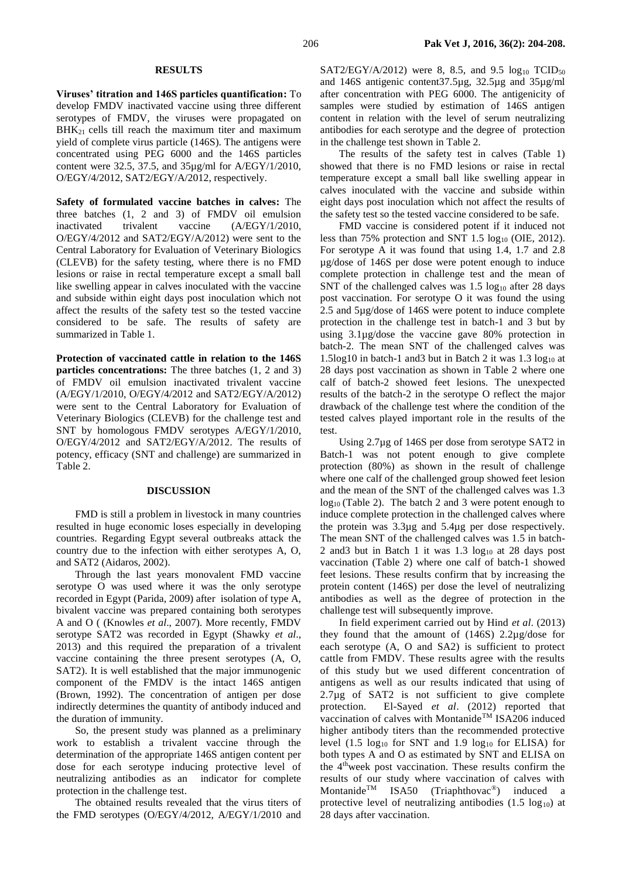#### **RESULTS**

**Viruses' titration and 146S particles quantification:** To develop FMDV inactivated vaccine using three different serotypes of FMDV, the viruses were propagated on BHK21 cells till reach the maximum titer and maximum yield of complete virus particle (146S). The antigens were concentrated using PEG 6000 and the 146S particles content were 32.5, 37.5, and 35µg/ml for A/EGY/1/2010, O/EGY/4/2012, SAT2/EGY/A/2012, respectively.

**Safety of formulated vaccine batches in calves:** The three batches (1, 2 and 3) of FMDV oil emulsion inactivated trivalent vaccine (A/EGY/1/2010, O/EGY/4/2012 and SAT2/EGY/A/2012) were sent to the Central Laboratory for Evaluation of Veterinary Biologics (CLEVB) for the safety testing, where there is no FMD lesions or raise in rectal temperature except a small ball like swelling appear in calves inoculated with the vaccine and subside within eight days post inoculation which not affect the results of the safety test so the tested vaccine considered to be safe. The results of safety are summarized in Table 1.

**Protection of vaccinated cattle in relation to the 146S particles concentrations:** The three batches (1, 2 and 3) of FMDV oil emulsion inactivated trivalent vaccine (A/EGY/1/2010, O/EGY/4/2012 and SAT2/EGY/A/2012) were sent to the Central Laboratory for Evaluation of Veterinary Biologics (CLEVB) for the challenge test and SNT by homologous FMDV serotypes A/EGY/1/2010, O/EGY/4/2012 and SAT2/EGY/A/2012. The results of potency, efficacy (SNT and challenge) are summarized in Table 2.

#### **DISCUSSION**

FMD is still a problem in livestock in many countries resulted in huge economic loses especially in developing countries. Regarding Egypt several outbreaks attack the country due to the infection with either serotypes A, O, and SAT2 (Aidaros, 2002).

Through the last years monovalent FMD vaccine serotype O was used where it was the only serotype recorded in Egypt (Parida, 2009) after isolation of type A, bivalent vaccine was prepared containing both serotypes A and O ( (Knowles *et al*., 2007). More recently, FMDV serotype SAT2 was recorded in Egypt (Shawky *et al*., 2013) and this required the preparation of a trivalent vaccine containing the three present serotypes (A, O, SAT2). It is well established that the major immunogenic component of the FMDV is the intact 146S antigen (Brown, 1992). The concentration of antigen per dose indirectly determines the quantity of antibody induced and the duration of immunity.

So, the present study was planned as a preliminary work to establish a trivalent vaccine through the determination of the appropriate 146S antigen content per dose for each serotype inducing protective level of neutralizing antibodies as an indicator for complete protection in the challenge test.

The obtained results revealed that the virus titers of the FMD serotypes (O/EGY/4/2012, A/EGY/1/2010 and SAT2/EGY/A/2012) were 8, 8.5, and 9.5  $log_{10}$  TCID<sub>50</sub> and 146S antigenic content37.5µg, 32.5µg and 35µg/ml after concentration with PEG 6000. The antigenicity of samples were studied by estimation of 146S antigen content in relation with the level of serum neutralizing antibodies for each serotype and the degree of protection in the challenge test shown in Table 2.

The results of the safety test in calves (Table 1) showed that there is no FMD lesions or raise in rectal temperature except a small ball like swelling appear in calves inoculated with the vaccine and subside within eight days post inoculation which not affect the results of the safety test so the tested vaccine considered to be safe.

FMD vaccine is considered potent if it induced not less than 75% protection and SNT 1.5 log<sup>10</sup> (OIE, 2012). For serotype A it was found that using 1.4, 1.7 and 2.8 µg/dose of 146S per dose were potent enough to induce complete protection in challenge test and the mean of SNT of the challenged calves was  $1.5 \log_{10}$  after 28 days post vaccination. For serotype O it was found the using 2.5 and 5µg/dose of 146S were potent to induce complete protection in the challenge test in batch-1 and 3 but by using 3.1µg/dose the vaccine gave 80% protection in batch-2. The mean SNT of the challenged calves was 1.5log10 in batch-1 and3 but in Batch 2 it was  $1.3 \log_{10} at$ 28 days post vaccination as shown in Table 2 where one calf of batch-2 showed feet lesions. The unexpected results of the batch-2 in the serotype O reflect the major drawback of the challenge test where the condition of the tested calves played important role in the results of the test.

Using 2.7µg of 146S per dose from serotype SAT2 in Batch-1 was not potent enough to give complete protection (80%) as shown in the result of challenge where one calf of the challenged group showed feet lesion and the mean of the SNT of the challenged calves was 1.3  $log_{10}$  (Table 2). The batch 2 and 3 were potent enough to induce complete protection in the challenged calves where the protein was 3.3µg and 5.4µg per dose respectively. The mean SNT of the challenged calves was 1.5 in batch-2 and 3 but in Batch 1 it was  $1.3 \log_{10} at 28$  days post vaccination (Table 2) where one calf of batch-1 showed feet lesions. These results confirm that by increasing the protein content (146S) per dose the level of neutralizing antibodies as well as the degree of protection in the challenge test will subsequently improve.

In field experiment carried out by Hind *et al*. (2013) they found that the amount of (146S) 2.2µg/dose for each serotype (A, O and SA2) is sufficient to protect cattle from FMDV. These results agree with the results of this study but we used different concentration of antigens as well as our results indicated that using of 2.7µg of SAT2 is not sufficient to give complete protection. El-Sayed *et al*. (2012) reported that vaccination of calves with Montanide<sup>TM</sup> ISA206 induced higher antibody titers than the recommended protective level (1.5  $log_{10}$  for SNT and 1.9  $log_{10}$  for ELISA) for both types A and O as estimated by SNT and ELISA on the 4thweek post vaccination. These results confirm the results of our study where vaccination of calves with MontanideTM ISA50 (Triaphthovac®) induced a protective level of neutralizing antibodies  $(1.5 \log_{10})$  at 28 days after vaccination.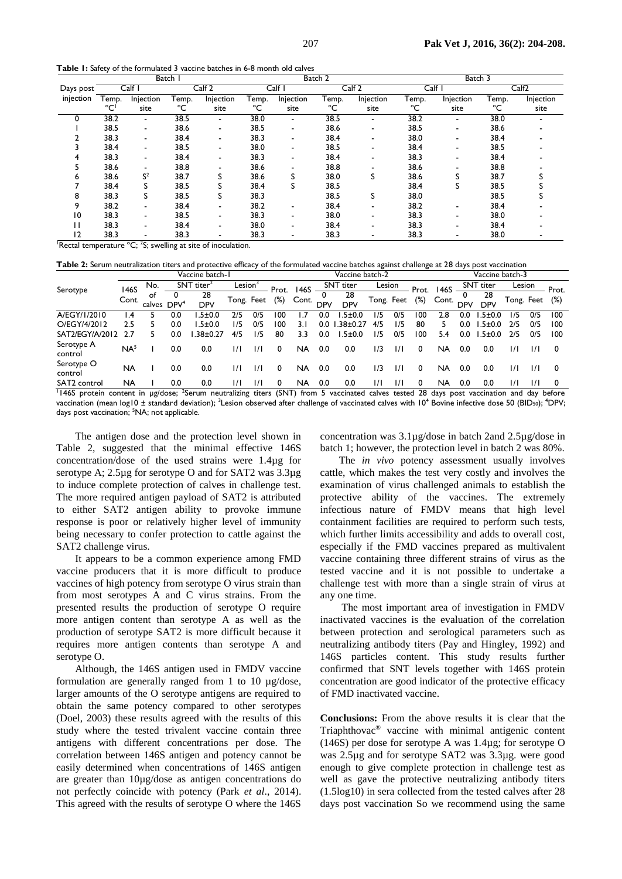**Table 1:** Safety of the formulated 3 vaccine batches in 6-8 month old calves

|           |                    |                          | Batch I |           |       |           | Batch 2 |           | Batch 3 |           |       |           |  |  |
|-----------|--------------------|--------------------------|---------|-----------|-------|-----------|---------|-----------|---------|-----------|-------|-----------|--|--|
| Days post | Calf I             |                          | Calf 2  |           |       | Calf I    |         | Calf 2    | Calf I  |           | Calf2 |           |  |  |
| injection | Injection<br>Temp. |                          | Temp.   | Injection | Геmр. | Injection | Temp.   | Injection | Гетр.   | Injection | Temp. | Injection |  |  |
|           | °C'                | site                     | °C      | site      | °C    | site      | °C      | site      | °C      | site      | ℃     | site      |  |  |
|           | 38.2               | ٠                        | 38.5    |           | 38.0  | ٠         | 38.5    |           | 38.2    |           | 38.0  |           |  |  |
|           | 38.5               | ۰                        | 38.6    | ۰         | 38.5  | ٠         | 38.6    | ٠         | 38.5    |           | 38.6  |           |  |  |
|           | 38.3               | ۰                        | 38.4    |           | 38.3  | ٠         | 38.4    | ٠         | 38.0    |           | 38.4  |           |  |  |
|           | 38.4               | ۰                        | 38.5    |           | 38.0  | ٠         | 38.5    | ٠         | 38.4    |           | 38.5  |           |  |  |
|           | 38.3               | ۰                        | 38.4    |           | 38.3  | ۰         | 38.4    | ٠         | 38.3    |           | 38.4  |           |  |  |
|           | 38.6               |                          | 38.8    |           | 38.6  |           | 38.8    |           | 38.6    |           | 38.8  |           |  |  |
| n         | 38.6               | S <sup>2</sup>           | 38.7    |           | 38.6  | S         | 38.0    | S         | 38.6    |           | 38.7  |           |  |  |
|           | 38.4               |                          | 38.5    |           | 38.4  | S         | 38.5    |           | 38.4    |           | 38.5  |           |  |  |
| 8         | 38.3               | S                        | 38.5    |           | 38.3  |           | 38.5    | S         | 38.0    |           | 38.5  |           |  |  |
| 9         | 38.2               | ۰                        | 38.4    |           | 38.2  | -         | 38.4    |           | 38.2    |           | 38.4  |           |  |  |
| 10        | 38.3               | ۰                        | 38.5    |           | 38.3  | -         | 38.0    |           | 38.3    |           | 38.0  |           |  |  |
| Ħ         | 38.3               | ۰                        | 38.4    |           | 38.0  | ٠         | 38.4    |           | 38.3    |           | 38.4  |           |  |  |
| 12        | 38.3               | $\overline{\phantom{a}}$ | 38.3    |           | 38.3  |           | 38.3    |           | 38.3    |           | 38.0  |           |  |  |

Rectal temperature  ${}^{\circ}C$ ; <sup>2</sup>S; swelling at site of inoculation.

**Table 2:** Serum neutralization titers and protective efficacy of the formulated vaccine batches against challenge at 28 days post vaccination

|                       | Vaccine batch-1 |                     |                          |                  |                     |               |        |           | Vaccine batch-2 |                  |            |     |        |       | Vaccine batch-3  |                  |               |            |        |  |  |
|-----------------------|-----------------|---------------------|--------------------------|------------------|---------------------|---------------|--------|-----------|-----------------|------------------|------------|-----|--------|-------|------------------|------------------|---------------|------------|--------|--|--|
| Serotype              | 146S<br>Cont.   | No.<br>ot<br>calves | $SNT$ titer <sup>2</sup> |                  | $\mathsf{Lesion}^3$ |               | Prot.  | 146S      | SNT titer       |                  | Lesion     |     | Prot.  | 146S  | <b>SNT</b> titer |                  | Lesion        |            | Prot.  |  |  |
|                       |                 |                     | DPV <sup>4</sup>         | 28<br><b>DPV</b> | Tong. Feet          |               | $(\%)$ | Cont. DPV |                 | 28<br><b>DPV</b> | Tong. Feet |     | $(\%)$ | Cont. | <b>DPV</b>       | 28<br><b>DPV</b> |               | Tong. Feet | $(\%)$ |  |  |
| A/EGY/1/2010          | l .4            |                     | 0.0                      | .5 ± 0.0         | 2/5                 | 0/5           | l OC   |           | 0.0             | .5 ± 0.0         | 1/5        | 0/5 | 100    | 2.8   | 0.0              | .5±0.0           | 175           | 0/5        | 100    |  |  |
| O/EGY/4/2012          | 2.5             |                     | 0.0                      | $.5 \pm 0.0$     | 1/5                 | 0/5           | 100    | 3.I       | 0.0             | $1.38 \pm 0.27$  | 4/5        | 1/5 | 80     | 5.    | 0.0              | $1.5 \pm 0.0$    | 2/5           | 0/5        | 100    |  |  |
| SAT2/EGY/A/2012       | 2.7             | 5                   | 0.0                      | $.38 + 0.27$     | 4/5                 | 1/5           | 80     | 3.3       | 0.0             | .5 ± 0.0         | 1/5        | 0/5 | 100    | 5.4   | 0.0              | $1.5 \pm 0.0$    | 2/5           | 0/5        | 100    |  |  |
| Serotype A<br>control | NA <sup>5</sup> |                     | 0.0                      | 0.0              | $\frac{1}{1}$       | $\frac{1}{1}$ | 0      | NA        | 0.0             | 0.0              | 1/3        | 1/1 | 0      | NA    | 0.0              | 0.0              | $\frac{1}{1}$ | 171        | 0      |  |  |
| Serotype O<br>control | NA              |                     | 0.0                      | 0.0              | $\frac{1}{1}$       | $\frac{1}{1}$ | 0      | NA        | 0.0             | 0.0              | 1/3        | 1/1 | 0      | NA    | 0.0              | 0.0              | $\frac{1}{1}$ | 171        | 0      |  |  |
| SAT2 control          | NA              |                     | 0.0                      | 0.0              | $\frac{1}{1}$       | $\frac{1}{1}$ | 0      | NA        | 0.0             | 0.0              | 171        | 171 |        | NA    | 0.0              | 0.0              | 1/1           | 171        | 0      |  |  |

<sup>1</sup>146S protein content in µg/dose; <sup>2</sup>Serum neutralizing titers (SNT) from 5 vaccinated calves tested 28 days post vaccination and day before vaccination (mean log10 ± standard deviation); <sup>3</sup>Lesion observed after challenge of vaccinated calves with 10<sup>4</sup> Bovine infective dose 50 (BID<sub>50</sub>); <sup>4</sup>DPV; days post vaccination; <sup>5</sup>NA; not applicable.

The antigen dose and the protection level shown in Table 2, suggested that the minimal effective 146S concentration/dose of the used strains were 1.4µg for serotype A; 2.5µg for serotype O and for SAT2 was 3.3µg to induce complete protection of calves in challenge test. The more required antigen payload of SAT2 is attributed to either SAT2 antigen ability to provoke immune response is poor or relatively higher level of immunity being necessary to confer protection to cattle against the SAT2 challenge virus.

It appears to be a common experience among FMD vaccine producers that it is more difficult to produce vaccines of high potency from serotype O virus strain than from most serotypes A and C virus strains. From the presented results the production of serotype O require more antigen content than serotype A as well as the production of serotype SAT2 is more difficult because it requires more antigen contents than serotype A and serotype O.

Although, the 146S antigen used in FMDV vaccine formulation are generally ranged from 1 to 10 µg/dose, larger amounts of the O serotype antigens are required to obtain the same potency compared to other serotypes (Doel, 2003) these results agreed with the results of this study where the tested trivalent vaccine contain three antigens with different concentrations per dose. The correlation between 146S antigen and potency cannot be easily determined when concentrations of 146S antigen are greater than 10µg/dose as antigen concentrations do not perfectly coincide with potency (Park *et al*., 2014). This agreed with the results of serotype O where the 146S

concentration was 3.1µg/dose in batch 2and 2.5µg/dose in batch 1; however, the protection level in batch 2 was 80%.

The *in vivo* potency assessment usually involves cattle, which makes the test very costly and involves the examination of virus challenged animals to establish the protective ability of the vaccines. The extremely infectious nature of FMDV means that high level containment facilities are required to perform such tests, which further limits accessibility and adds to overall cost, especially if the FMD vaccines prepared as multivalent vaccine containing three different strains of virus as the tested vaccine and it is not possible to undertake a challenge test with more than a single strain of virus at any one time.

The most important area of investigation in FMDV inactivated vaccines is the evaluation of the correlation between protection and serological parameters such as neutralizing antibody titers (Pay and Hingley, 1992) and 146S particles content. This study results further confirmed that SNT levels together with 146S protein concentration are good indicator of the protective efficacy of FMD inactivated vaccine.

**Conclusions:** From the above results it is clear that the Triaphthovac® vaccine with minimal antigenic content (146S) per dose for serotype A was 1.4µg; for serotype O was 2.5µg and for serotype SAT2 was 3.3µg. were good enough to give complete protection in challenge test as well as gave the protective neutralizing antibody titers (1.5log10) in sera collected from the tested calves after 28 days post vaccination So we recommend using the same